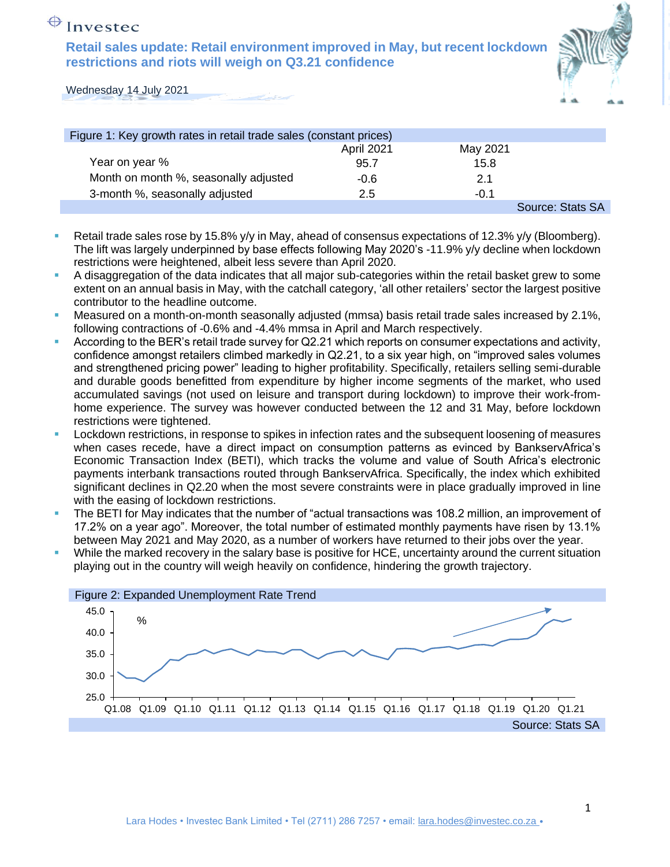## $\bigoplus$  Investec

**Retail sales update: Retail environment improved in May, but recent lockdown restrictions and riots will weigh on Q3.21 confidence**



Wednesday 14 July 2021

| Figure 1: Key growth rates in retail trade sales (constant prices) |            |          |                  |
|--------------------------------------------------------------------|------------|----------|------------------|
|                                                                    | April 2021 | May 2021 |                  |
| Year on year %                                                     | 95.7       | 15.8     |                  |
| Month on month %, seasonally adjusted                              | -0.6       | 2.1      |                  |
| 3-month %, seasonally adjusted                                     | 2.5        | $-0.1$   |                  |
|                                                                    |            |          | Source: Stats SA |

- Retail trade sales rose by 15.8% y/y in May, ahead of consensus expectations of 12.3% y/y (Bloomberg). The lift was largely underpinned by base effects following May 2020's -11.9% y/y decline when lockdown restrictions were heightened, albeit less severe than April 2020.
- A disaggregation of the data indicates that all major sub-categories within the retail basket grew to some extent on an annual basis in May, with the catchall category, 'all other retailers' sector the largest positive contributor to the headline outcome.
- Measured on a month-on-month seasonally adjusted (mmsa) basis retail trade sales increased by 2.1%, following contractions of -0.6% and -4.4% mmsa in April and March respectively.
- According to the BER's retail trade survey for Q2.21 which reports on consumer expectations and activity, confidence amongst retailers climbed markedly in Q2.21, to a six year high, on "improved sales volumes and strengthened pricing power" leading to higher profitability. Specifically, retailers selling semi-durable and durable goods benefitted from expenditure by higher income segments of the market, who used accumulated savings (not used on leisure and transport during lockdown) to improve their work-fromhome experience. The survey was however conducted between the 12 and 31 May, before lockdown restrictions were tightened.
- Lockdown restrictions, in response to spikes in infection rates and the subsequent loosening of measures when cases recede, have a direct impact on consumption patterns as evinced by BankservAfrica's Economic Transaction Index (BETI), which tracks the volume and value of South Africa's electronic payments interbank transactions routed through BankservAfrica. Specifically, the index which exhibited significant declines in Q2.20 when the most severe constraints were in place gradually improved in line with the easing of lockdown restrictions.
- The BETI for May indicates that the number of "actual transactions was 108.2 million, an improvement of 17.2% on a year ago". Moreover, the total number of estimated monthly payments have risen by 13.1% between May 2021 and May 2020, as a number of workers have returned to their jobs over the year.
- While the marked recovery in the salary base is positive for HCE, uncertainty around the current situation playing out in the country will weigh heavily on confidence, hindering the growth trajectory.

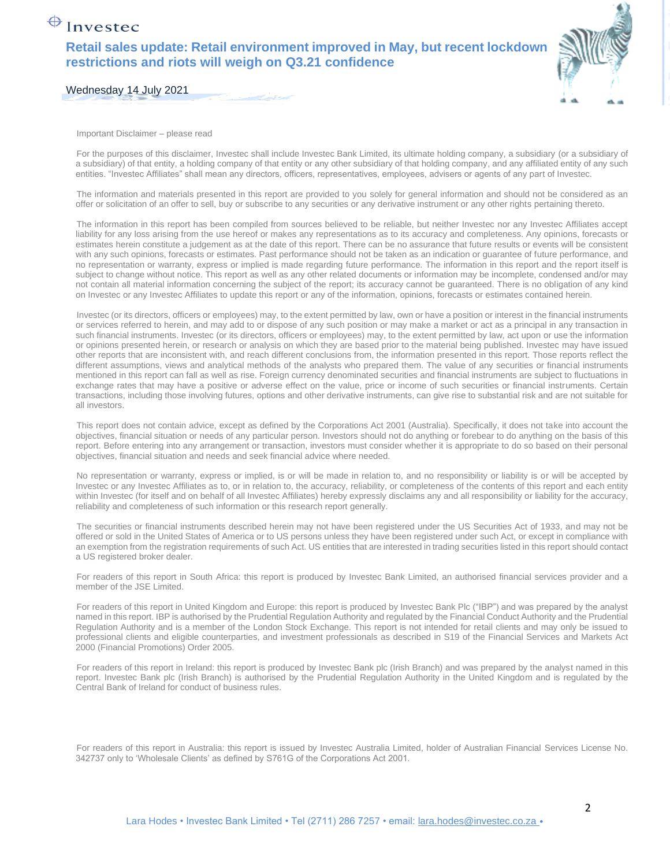## $\bigoplus$  Investec

**Retail sales update: Retail environment improved in May, but recent lockdown restrictions and riots will weigh on Q3.21 confidence**



Wednesday 14 July 2021

Important Disclaimer – please read

For the purposes of this disclaimer, Investec shall include Investec Bank Limited, its ultimate holding company, a subsidiary (or a subsidiary of a subsidiary) of that entity, a holding company of that entity or any other subsidiary of that holding company, and any affiliated entity of any such entities. "Investec Affiliates" shall mean any directors, officers, representatives, employees, advisers or agents of any part of Investec.

The information and materials presented in this report are provided to you solely for general information and should not be considered as an offer or solicitation of an offer to sell, buy or subscribe to any securities or any derivative instrument or any other rights pertaining thereto.

The information in this report has been compiled from sources believed to be reliable, but neither Investec nor any Investec Affiliates accept liability for any loss arising from the use hereof or makes any representations as to its accuracy and completeness. Any opinions, forecasts or estimates herein constitute a judgement as at the date of this report. There can be no assurance that future results or events will be consistent with any such opinions, forecasts or estimates. Past performance should not be taken as an indication or guarantee of future performance, and no representation or warranty, express or implied is made regarding future performance. The information in this report and the report itself is subject to change without notice. This report as well as any other related documents or information may be incomplete, condensed and/or may not contain all material information concerning the subject of the report; its accuracy cannot be guaranteed. There is no obligation of any kind on Investec or any Investec Affiliates to update this report or any of the information, opinions, forecasts or estimates contained herein.

Investec (or its directors, officers or employees) may, to the extent permitted by law, own or have a position or interest in the financial instruments or services referred to herein, and may add to or dispose of any such position or may make a market or act as a principal in any transaction in such financial instruments. Investec (or its directors, officers or employees) may, to the extent permitted by law, act upon or use the information or opinions presented herein, or research or analysis on which they are based prior to the material being published. Investec may have issued other reports that are inconsistent with, and reach different conclusions from, the information presented in this report. Those reports reflect the different assumptions, views and analytical methods of the analysts who prepared them. The value of any securities or financial instruments mentioned in this report can fall as well as rise. Foreign currency denominated securities and financial instruments are subject to fluctuations in exchange rates that may have a positive or adverse effect on the value, price or income of such securities or financial instruments. Certain transactions, including those involving futures, options and other derivative instruments, can give rise to substantial risk and are not suitable for all investors.

This report does not contain advice, except as defined by the Corporations Act 2001 (Australia). Specifically, it does not take into account the objectives, financial situation or needs of any particular person. Investors should not do anything or forebear to do anything on the basis of this report. Before entering into any arrangement or transaction, investors must consider whether it is appropriate to do so based on their personal objectives, financial situation and needs and seek financial advice where needed.

No representation or warranty, express or implied, is or will be made in relation to, and no responsibility or liability is or will be accepted by Investec or any Investec Affiliates as to, or in relation to, the accuracy, reliability, or completeness of the contents of this report and each entity within Investec (for itself and on behalf of all Investec Affiliates) hereby expressly disclaims any and all responsibility or liability for the accuracy, reliability and completeness of such information or this research report generally.

The securities or financial instruments described herein may not have been registered under the US Securities Act of 1933, and may not be offered or sold in the United States of America or to US persons unless they have been registered under such Act, or except in compliance with an exemption from the registration requirements of such Act. US entities that are interested in trading securities listed in this report should contact a US registered broker dealer.

For readers of this report in South Africa: this report is produced by Investec Bank Limited, an authorised financial services provider and a member of the JSE Limited.

For readers of this report in United Kingdom and Europe: this report is produced by Investec Bank Plc ("IBP") and was prepared by the analyst named in this report. IBP is authorised by the Prudential Regulation Authority and regulated by the Financial Conduct Authority and the Prudential Regulation Authority and is a member of the London Stock Exchange. This report is not intended for retail clients and may only be issued to professional clients and eligible counterparties, and investment professionals as described in S19 of the Financial Services and Markets Act 2000 (Financial Promotions) Order 2005.

For readers of this report in Ireland: this report is produced by Investec Bank plc (Irish Branch) and was prepared by the analyst named in this report. Investec Bank plc (Irish Branch) is authorised by the Prudential Regulation Authority in the United Kingdom and is regulated by the Central Bank of Ireland for conduct of business rules.

For readers of this report in Australia: this report is issued by Investec Australia Limited, holder of Australian Financial Services License No. 342737 only to 'Wholesale Clients' as defined by S761G of the Corporations Act 2001.